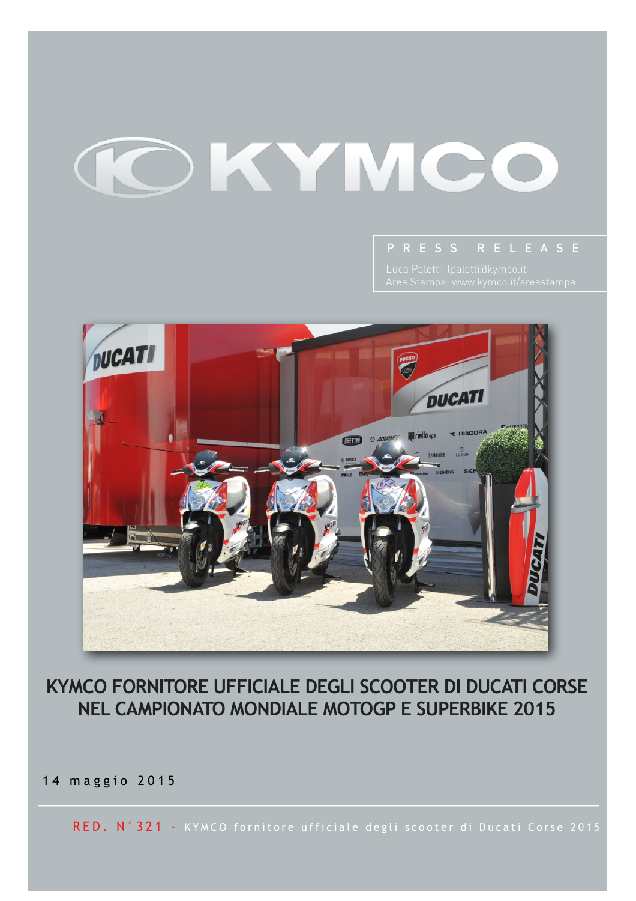# KYMCO



### **KYMCO FORNITORE UFFICIALE DEGLI SCOOTER DI DUCATI CORSE NEL CAMPIONATO MONDIALE MOTOGP E SUPERBIKE 2015**

14 maggio 2015

RED. N°321 - KYMCO fornitore ufficiale degli scooter di Ducati Corse 2015